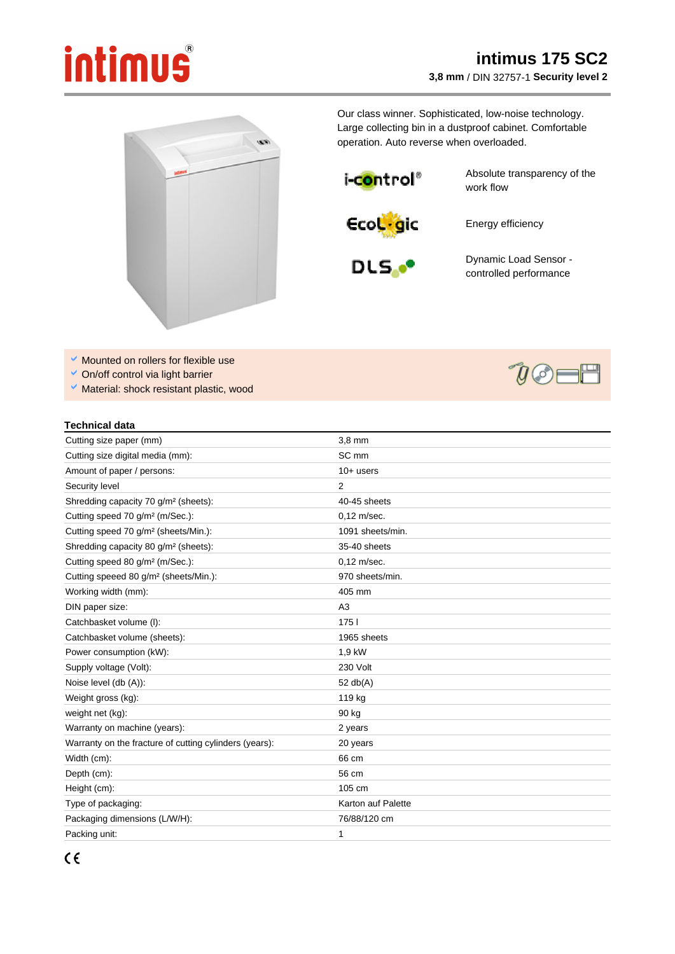## intimus

## **intimus 175 SC2 3,8 mm** / DIN 32757-1 **Security level 2**



Our class winner. Sophisticated, low-noise technology. Large collecting bin in a dustproof cabinet. Comfortable operation. Auto reverse when overloaded.

i-c<mark>o</mark>ntrol®

Absolute transparency of the work flow

**EcoL**gic

Energy efficiency



Dynamic Load Sensor controlled performance

- $\blacktriangleright$  Mounted on rollers for flexible use
- On/off control via light barrier
- $\checkmark$  Material: shock resistant plastic, wood

## **Technical data**

| Cutting size paper (mm)                                | 3,8 mm             |
|--------------------------------------------------------|--------------------|
| Cutting size digital media (mm):                       | SC <sub>mm</sub>   |
| Amount of paper / persons:                             | $10+$ users        |
| Security level                                         | 2                  |
| Shredding capacity 70 g/m <sup>2</sup> (sheets):       | 40-45 sheets       |
| Cutting speed 70 g/m <sup>2</sup> (m/Sec.):            | $0.12$ m/sec.      |
| Cutting speed 70 g/m <sup>2</sup> (sheets/Min.):       | 1091 sheets/min.   |
| Shredding capacity 80 g/m <sup>2</sup> (sheets):       | 35-40 sheets       |
| Cutting speed 80 g/m <sup>2</sup> (m/Sec.):            | $0.12$ m/sec.      |
| Cutting speeed 80 g/m <sup>2</sup> (sheets/Min.):      | 970 sheets/min.    |
| Working width (mm):                                    | 405 mm             |
| DIN paper size:                                        | A <sub>3</sub>     |
| Catchbasket volume (I):                                | 1751               |
| Catchbasket volume (sheets):                           | 1965 sheets        |
| Power consumption (kW):                                | 1,9 kW             |
| Supply voltage (Volt):                                 | 230 Volt           |
| Noise level (db (A)):                                  | 52 $db(A)$         |
| Weight gross (kg):                                     | 119 kg             |
| weight net (kg):                                       | 90 kg              |
| Warranty on machine (years):                           | 2 years            |
| Warranty on the fracture of cutting cylinders (years): | 20 years           |
| Width (cm):                                            | 66 cm              |
| Depth (cm):                                            | 56 cm              |
| Height (cm):                                           | 105 cm             |
| Type of packaging:                                     | Karton auf Palette |
| Packaging dimensions (L/W/H):                          | 76/88/120 cm       |
| Packing unit:                                          | 1                  |